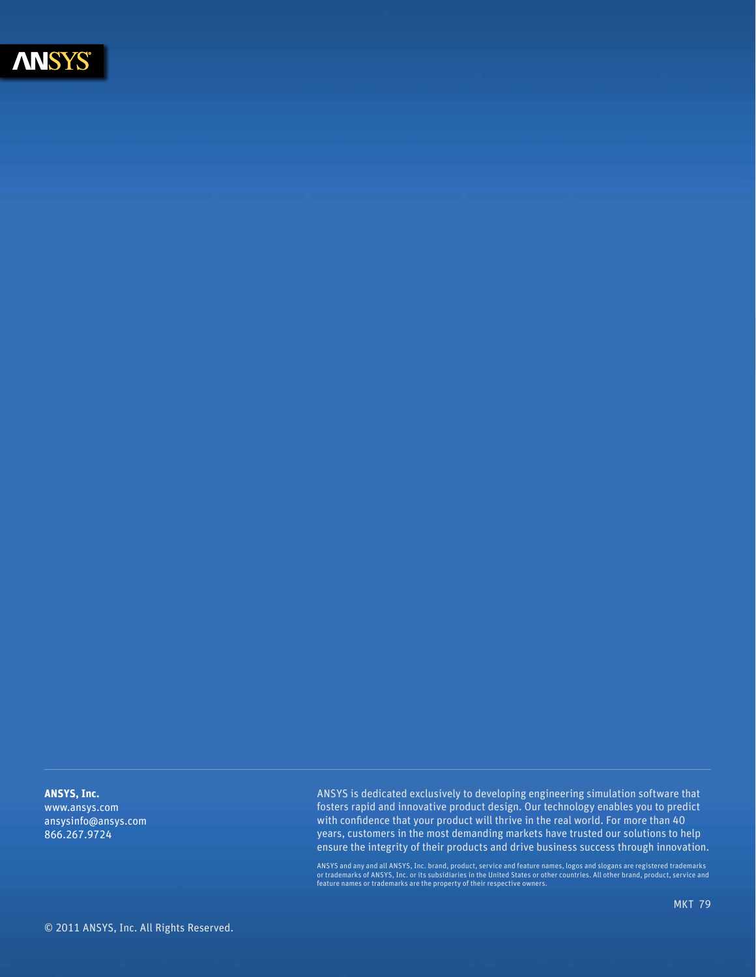

**ANSYS, Inc.** www.ansys.com ansysinfo@ansys.com 866.267.9724

ANSYS is dedicated exclusively to developing engineering simulation software that fosters rapid and innovative product design. Our technology enables you to predict with confidence that your product will thrive in the real world. For more than 40 years, customers in the most demanding markets have trusted our solutions to help ensure the integrity of their products and drive business success through innovation.

ANSYS and any and all ANSYS, Inc. brand, product, service and feature names, logos and slogans are registered trademarks<br>or trademarks of ANSYS, Inc. or its subsidiaries in the United States or other countries. All other b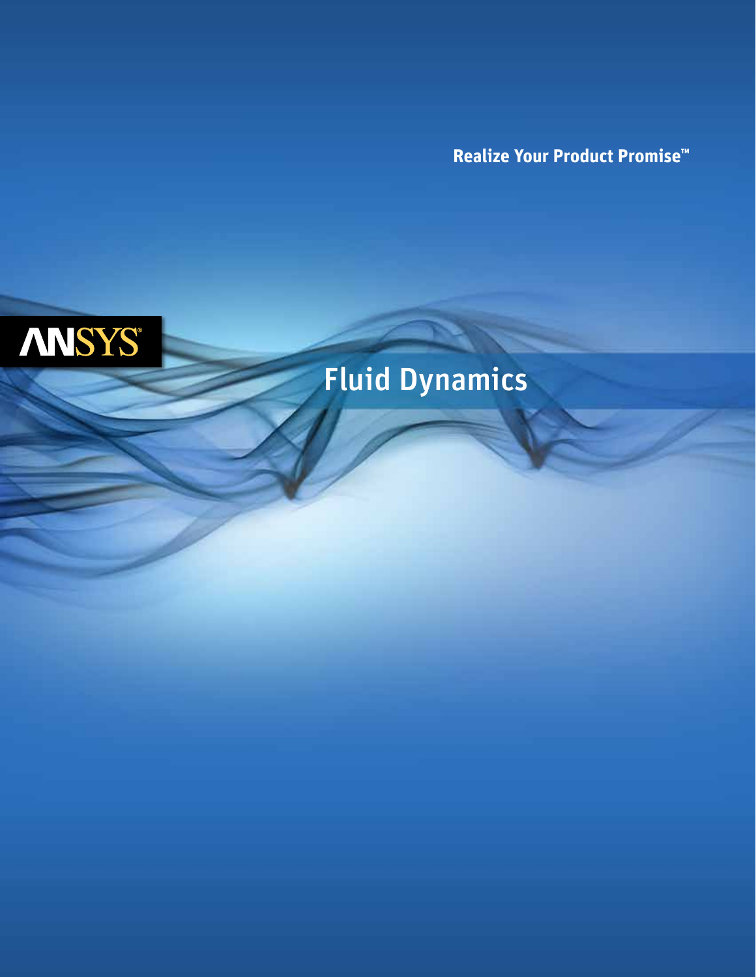**Realize Your Product Promise™**



# Fluid Dynamics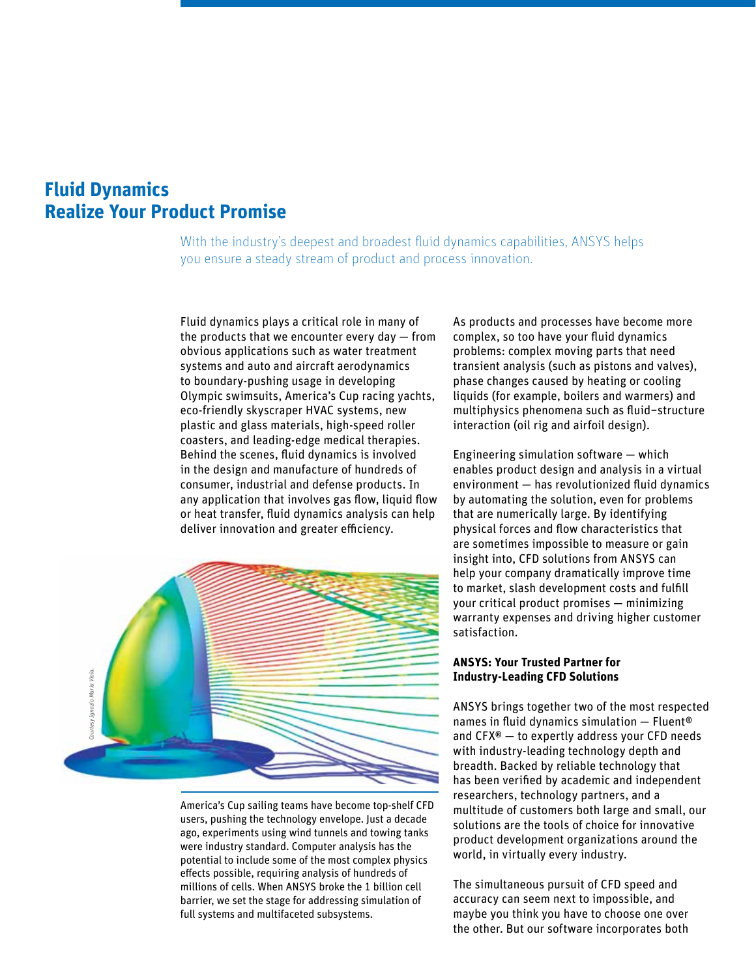# **Fluid Dynamics Realize Your Product Promise**

With the industry's deepest and broadest fluid dynamics capabilities, ANSYS helps you ensure a steady stream of product and process innovation.

Fluid dynamics plays a critical role in many of the products that we encounter every day — from obvious applications such as water treatment systems and auto and aircraft aerodynamics to boundary-pushing usage in developing Olympic swimsuits, America's Cup racing yachts, eco-friendly skyscraper HVAC systems, new plastic and glass materials, high-speed roller coasters, and leading-edge medical therapies. Behind the scenes, fluid dynamics is involved in the design and manufacture of hundreds of consumer, industrial and defense products. In any application that involves gas flow, liquid flow or heat transfer, fluid dynamics analysis can help deliver innovation and greater efficiency.



America's Cup sailing teams have become top-shelf CFD users, pushing the technology envelope. Just a decade ago, experiments using wind tunnels and towing tanks were industry standard. Computer analysis has the potential to include some of the most complex physics effects possible, requiring analysis of hundreds of millions of cells. When ANSYS broke the 1 billion cell barrier, we set the stage for addressing simulation of full systems and multifaceted subsystems.

As products and processes have become more complex, so too have your fluid dynamics problems: complex moving parts that need transient analysis (such as pistons and valves), phase changes caused by heating or cooling liquids (for example, boilers and warmers) and multiphysics phenomena such as fluid−structure interaction (oil rig and airfoil design).

Engineering simulation software — which enables product design and analysis in a virtual environment — has revolutionized fluid dynamics by automating the solution, even for problems that are numerically large. By identifying physical forces and flow characteristics that are sometimes impossible to measure or gain insight into, CFD solutions from ANSYS can help your company dramatically improve time to market, slash development costs and fulfill your critical product promises — minimizing warranty expenses and driving higher customer satisfaction.

#### **ANSYS: Your Trusted Partner for Industry-Leading CFD Solutions**

ANSYS brings together two of the most respected names in fluid dynamics simulation — Fluent® and CFX® — to expertly address your CFD needs with industry-leading technology depth and breadth. Backed by reliable technology that has been verified by academic and independent researchers, technology partners, and a multitude of customers both large and small, our solutions are the tools of choice for innovative product development organizations around the world, in virtually every industry.

The simultaneous pursuit of CFD speed and accuracy can seem next to impossible, and maybe you think you have to choose one over the other. But our software incorporates both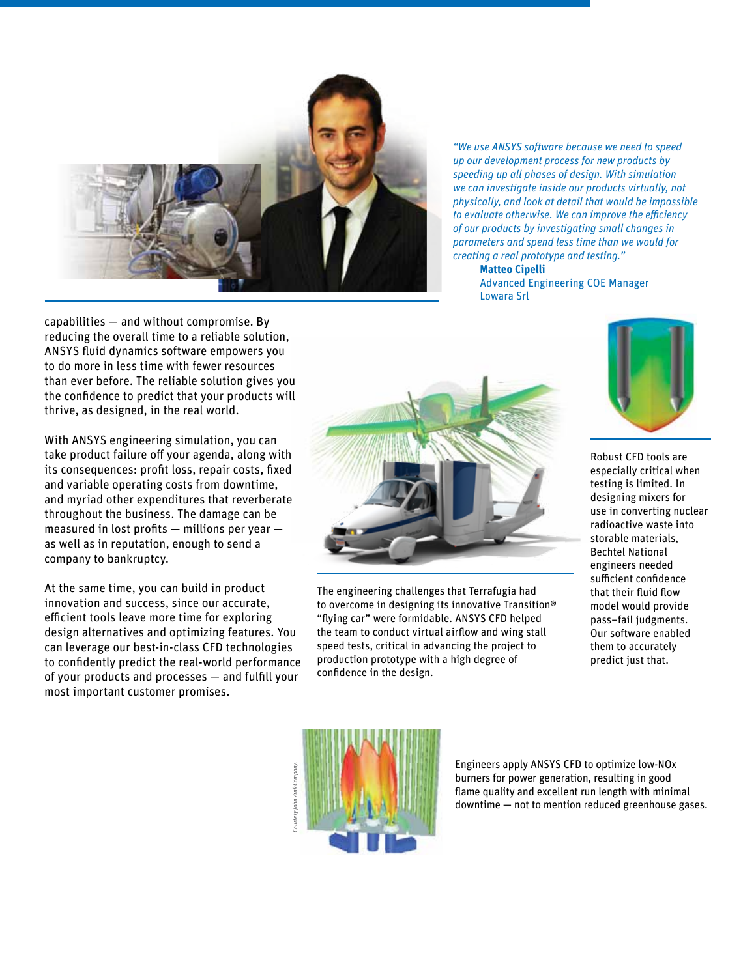

*"We use ANSYS software because we need to speed up our development process for new products by speeding up all phases of design. With simulation we can investigate inside our products virtually, not physically, and look at detail that would be impossible to evaluate otherwise. We can improve the efficiency of our products by investigating small changes in parameters and spend less time than we would for creating a real prototype and testing."*

 **Matteo Cipelli** Advanced Engineering COE Manager Lowara Srl

capabilities — and without compromise. By reducing the overall time to a reliable solution, ANSYS fluid dynamics software empowers you to do more in less time with fewer resources than ever before. The reliable solution gives you the confidence to predict that your products will thrive, as designed, in the real world.

With ANSYS engineering simulation, you can take product failure off your agenda, along with its consequences: profit loss, repair costs, fixed and variable operating costs from downtime, and myriad other expenditures that reverberate throughout the business. The damage can be measured in lost profits — millions per year as well as in reputation, enough to send a company to bankruptcy.

At the same time, you can build in product innovation and success, since our accurate, efficient tools leave more time for exploring design alternatives and optimizing features. You can leverage our best-in-class CFD technologies to confidently predict the real-world performance of your products and processes — and fulfill your most important customer promises.



The engineering challenges that Terrafugia had to overcome in designing its innovative Transition® "flying car" were formidable. ANSYS CFD helped the team to conduct virtual airflow and wing stall speed tests, critical in advancing the project to production prototype with a high degree of confidence in the design.



Robust CFD tools are especially critical when testing is limited. In designing mixers for use in converting nuclear radioactive waste into storable materials, Bechtel National engineers needed sufficient confidence that their fluid flow model would provide pass–fail judgments. Our software enabled them to accurately predict just that.



Engineers apply ANSYS CFD to optimize low-NOx burners for power generation, resulting in good flame quality and excellent run length with minimal downtime — not to mention reduced greenhouse gases.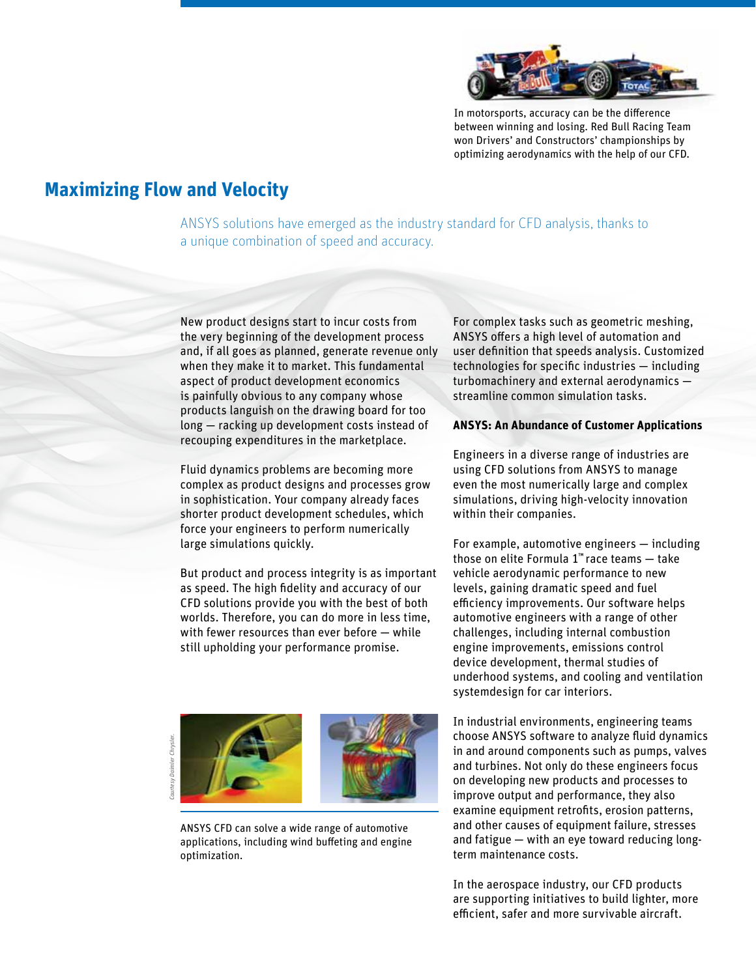

In motorsports, accuracy can be the difference between winning and losing. Red Bull Racing Team won Drivers' and Constructors' championships by optimizing aerodynamics with the help of our CFD.

### **Maximizing Flow and Velocity**

ANSYS solutions have emerged as the industry standard for CFD analysis, thanks to a unique combination of speed and accuracy.

New product designs start to incur costs from the very beginning of the development process and, if all goes as planned, generate revenue only when they make it to market. This fundamental aspect of product development economics is painfully obvious to any company whose products languish on the drawing board for too long — racking up development costs instead of recouping expenditures in the marketplace.

Fluid dynamics problems are becoming more complex as product designs and processes grow in sophistication. Your company already faces shorter product development schedules, which force your engineers to perform numerically large simulations quickly.

But product and process integrity is as important as speed. The high fidelity and accuracy of our CFD solutions provide you with the best of both worlds. Therefore, you can do more in less time, with fewer resources than ever before — while still upholding your performance promise.

 *Courtesy Daimler Chrysler.*Chrysle

ANSYS CFD can solve a wide range of automotive applications, including wind buffeting and engine optimization.

For complex tasks such as geometric meshing, ANSYS offers a high level of automation and user definition that speeds analysis. Customized technologies for specific industries — including turbomachinery and external aerodynamics streamline common simulation tasks.

#### **ANSYS: An Abundance of Customer Applications**

Engineers in a diverse range of industries are using CFD solutions from ANSYS to manage even the most numerically large and complex simulations, driving high-velocity innovation within their companies.

For example, automotive engineers — including those on elite Formula 1™ race teams — take vehicle aerodynamic performance to new levels, gaining dramatic speed and fuel efficiency improvements. Our software helps automotive engineers with a range of other challenges, including internal combustion engine improvements, emissions control device development, thermal studies of underhood systems, and cooling and ventilation systemdesign for car interiors.

In industrial environments, engineering teams choose ANSYS software to analyze fluid dynamics in and around components such as pumps, valves and turbines. Not only do these engineers focus on developing new products and processes to improve output and performance, they also examine equipment retrofits, erosion patterns, and other causes of equipment failure, stresses and fatigue — with an eye toward reducing longterm maintenance costs.

In the aerospace industry, our CFD products are supporting initiatives to build lighter, more efficient, safer and more survivable aircraft.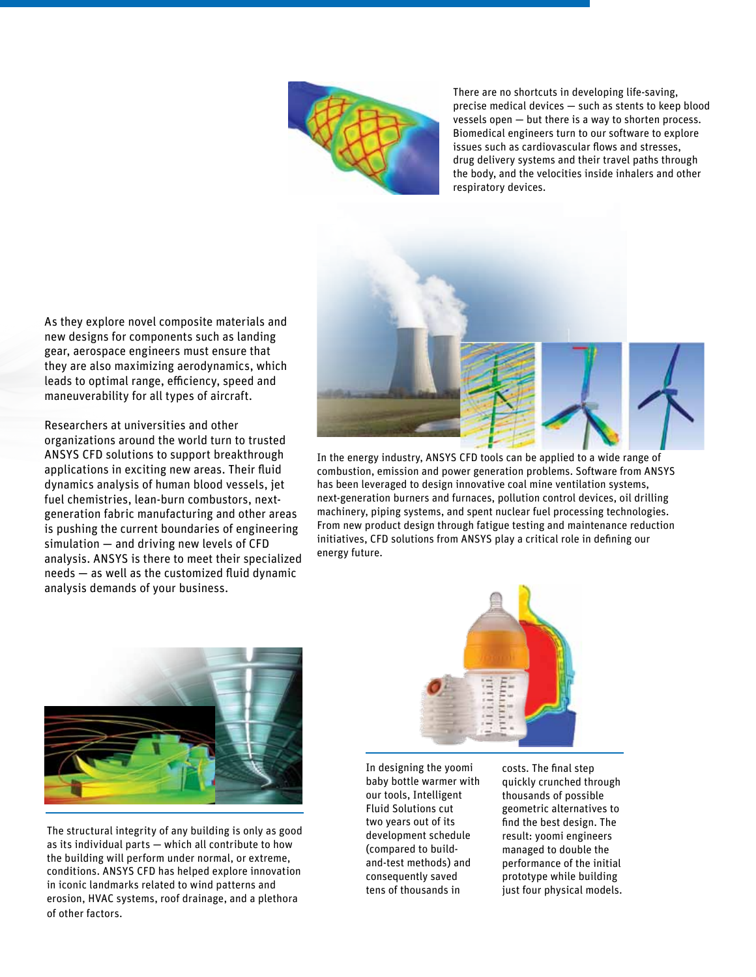

There are no shortcuts in developing life-saving, precise medical devices — such as stents to keep blood vessels open — but there is a way to shorten process. Biomedical engineers turn to our software to explore issues such as cardiovascular flows and stresses, drug delivery systems and their travel paths through the body, and the velocities inside inhalers and other respiratory devices.

As they explore novel composite materials and new designs for components such as landing gear, aerospace engineers must ensure that they are also maximizing aerodynamics, which leads to optimal range, efficiency, speed and maneuverability for all types of aircraft.

Researchers at universities and other organizations around the world turn to trusted ANSYS CFD solutions to support breakthrough applications in exciting new areas. Their fluid dynamics analysis of human blood vessels, jet fuel chemistries, lean-burn combustors, nextgeneration fabric manufacturing and other areas is pushing the current boundaries of engineering simulation — and driving new levels of CFD analysis. ANSYS is there to meet their specialized needs — as well as the customized fluid dynamic analysis demands of your business.



In the energy industry, ANSYS CFD tools can be applied to a wide range of combustion, emission and power generation problems. Software from ANSYS has been leveraged to design innovative coal mine ventilation systems, next-generation burners and furnaces, pollution control devices, oil drilling machinery, piping systems, and spent nuclear fuel processing technologies. From new product design through fatigue testing and maintenance reduction initiatives, CFD solutions from ANSYS play a critical role in defining our energy future.



The structural integrity of any building is only as good as its individual parts — which all contribute to how the building will perform under normal, or extreme, conditions. ANSYS CFD has helped explore innovation in iconic landmarks related to wind patterns and erosion, HVAC systems, roof drainage, and a plethora of other factors.



In designing the yoomi baby bottle warmer with our tools, Intelligent Fluid Solutions cut two years out of its development schedule (compared to buildand-test methods) and consequently saved tens of thousands in

costs. The final step quickly crunched through thousands of possible geometric alternatives to find the best design. The result: yoomi engineers managed to double the performance of the initial prototype while building just four physical models.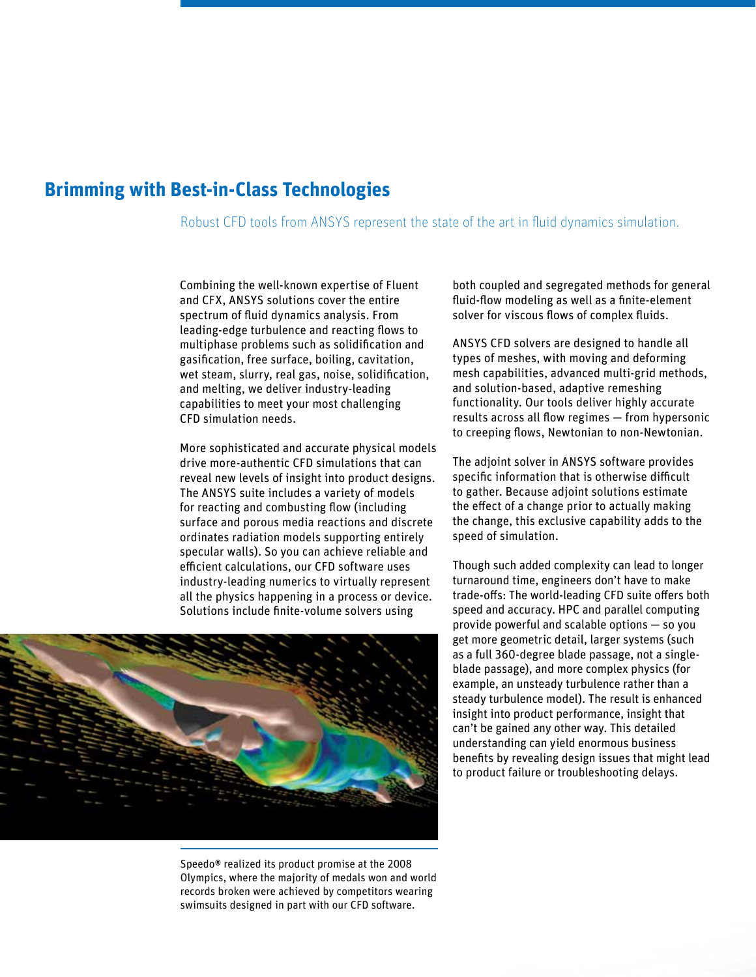## **Brimming with Best-in-Class Technologies**

Robust CFD tools from ANSYS represent the state of the art in fluid dynamics simulation.

Combining the well-known expertise of Fluent and CFX, ANSYS solutions cover the entire spectrum of fluid dynamics analysis. From leading-edge turbulence and reacting flows to multiphase problems such as solidification and gasification, free surface, boiling, cavitation, wet steam, slurry, real gas, noise, solidification, and melting, we deliver industry-leading capabilities to meet your most challenging CFD simulation needs.

More sophisticated and accurate physical models drive more-authentic CFD simulations that can reveal new levels of insight into product designs. The ANSYS suite includes a variety of models for reacting and combusting flow (including surface and porous media reactions and discrete ordinates radiation models supporting entirely specular walls). So you can achieve reliable and efficient calculations, our CFD software uses industry-leading numerics to virtually represent all the physics happening in a process or device. Solutions include finite-volume solvers using



Speedo® realized its product promise at the 2008 Olympics, where the majority of medals won and world records broken were achieved by competitors wearing swimsuits designed in part with our CFD software.

both coupled and segregated methods for general fluid-flow modeling as well as a finite-element solver for viscous flows of complex fluids.

ANSYS CFD solvers are designed to handle all types of meshes, with moving and deforming mesh capabilities, advanced multi-grid methods, and solution-based, adaptive remeshing functionality. Our tools deliver highly accurate results across all flow regimes — from hypersonic to creeping flows, Newtonian to non-Newtonian.

The adjoint solver in ANSYS software provides specific information that is otherwise difficult to gather. Because adjoint solutions estimate the effect of a change prior to actually making the change, this exclusive capability adds to the speed of simulation.

Though such added complexity can lead to longer turnaround time, engineers don't have to make trade-offs: The world-leading CFD suite offers both speed and accuracy. HPC and parallel computing provide powerful and scalable options — so you get more geometric detail, larger systems (such as a full 360-degree blade passage, not a singleblade passage), and more complex physics (for example, an unsteady turbulence rather than a steady turbulence model). The result is enhanced insight into product performance, insight that can't be gained any other way. This detailed understanding can yield enormous business benefits by revealing design issues that might lead to product failure or troubleshooting delays.